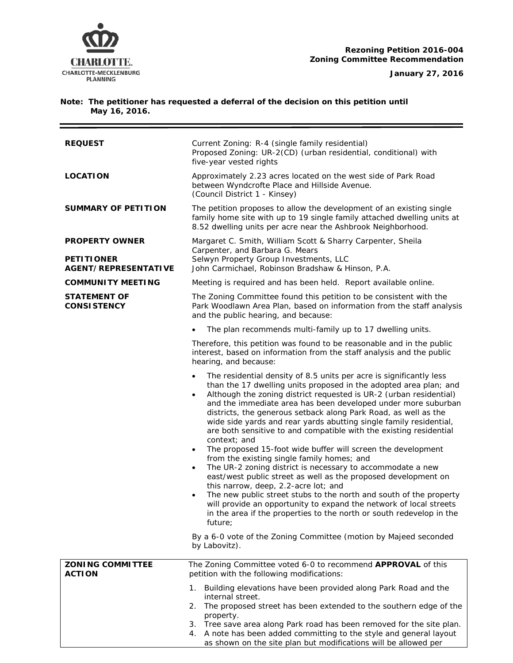

### **Note: The petitioner has requested a deferral of the decision on this petition until May 16, 2016.**

| <b>REQUEST</b>                                                     | Current Zoning: R-4 (single family residential)<br>Proposed Zoning: UR-2(CD) (urban residential, conditional) with<br>five-year vested rights                                                                                                                                                                                                                                                                                                                                                                                                                                                                                                                                                                                                                                                                                                                                                                                                                                                                                                                                           |  |  |
|--------------------------------------------------------------------|-----------------------------------------------------------------------------------------------------------------------------------------------------------------------------------------------------------------------------------------------------------------------------------------------------------------------------------------------------------------------------------------------------------------------------------------------------------------------------------------------------------------------------------------------------------------------------------------------------------------------------------------------------------------------------------------------------------------------------------------------------------------------------------------------------------------------------------------------------------------------------------------------------------------------------------------------------------------------------------------------------------------------------------------------------------------------------------------|--|--|
| <b>LOCATION</b>                                                    | Approximately 2.23 acres located on the west side of Park Road<br>between Wyndcrofte Place and Hillside Avenue.<br>(Council District 1 - Kinsey)                                                                                                                                                                                                                                                                                                                                                                                                                                                                                                                                                                                                                                                                                                                                                                                                                                                                                                                                        |  |  |
| <b>SUMMARY OF PETITION</b>                                         | The petition proposes to allow the development of an existing single<br>family home site with up to 19 single family attached dwelling units at<br>8.52 dwelling units per acre near the Ashbrook Neighborhood.                                                                                                                                                                                                                                                                                                                                                                                                                                                                                                                                                                                                                                                                                                                                                                                                                                                                         |  |  |
| <b>PROPERTY OWNER</b><br><b>PETITIONER</b><br>AGENT/REPRESENTATIVE | Margaret C. Smith, William Scott & Sharry Carpenter, Sheila<br>Carpenter, and Barbara G. Mears<br>Selwyn Property Group Investments, LLC<br>John Carmichael, Robinson Bradshaw & Hinson, P.A.                                                                                                                                                                                                                                                                                                                                                                                                                                                                                                                                                                                                                                                                                                                                                                                                                                                                                           |  |  |
| <b>COMMUNITY MEETING</b>                                           | Meeting is required and has been held. Report available online.                                                                                                                                                                                                                                                                                                                                                                                                                                                                                                                                                                                                                                                                                                                                                                                                                                                                                                                                                                                                                         |  |  |
| <b>STATEMENT OF</b><br><b>CONSISTENCY</b>                          | The Zoning Committee found this petition to be consistent with the<br>Park Woodlawn Area Plan, based on information from the staff analysis<br>and the public hearing, and because:                                                                                                                                                                                                                                                                                                                                                                                                                                                                                                                                                                                                                                                                                                                                                                                                                                                                                                     |  |  |
|                                                                    | The plan recommends multi-family up to 17 dwelling units.                                                                                                                                                                                                                                                                                                                                                                                                                                                                                                                                                                                                                                                                                                                                                                                                                                                                                                                                                                                                                               |  |  |
|                                                                    | Therefore, this petition was found to be reasonable and in the public<br>interest, based on information from the staff analysis and the public<br>hearing, and because:                                                                                                                                                                                                                                                                                                                                                                                                                                                                                                                                                                                                                                                                                                                                                                                                                                                                                                                 |  |  |
|                                                                    | The residential density of 8.5 units per acre is significantly less<br>$\bullet$<br>than the 17 dwelling units proposed in the adopted area plan; and<br>Although the zoning district requested is UR-2 (urban residential)<br>and the immediate area has been developed under more suburban<br>districts, the generous setback along Park Road, as well as the<br>wide side yards and rear yards abutting single family residential,<br>are both sensitive to and compatible with the existing residential<br>context; and<br>The proposed 15-foot wide buffer will screen the development<br>$\bullet$<br>from the existing single family homes; and<br>The UR-2 zoning district is necessary to accommodate a new<br>$\bullet$<br>east/west public street as well as the proposed development on<br>this narrow, deep, 2.2-acre lot; and<br>The new public street stubs to the north and south of the property<br>$\bullet$<br>will provide an opportunity to expand the network of local streets<br>in the area if the properties to the north or south redevelop in the<br>future; |  |  |
|                                                                    | By a 6-0 vote of the Zoning Committee (motion by Majeed seconded<br>by Labovitz).                                                                                                                                                                                                                                                                                                                                                                                                                                                                                                                                                                                                                                                                                                                                                                                                                                                                                                                                                                                                       |  |  |
| <b>ZONING COMMITTEE</b><br><b>ACTION</b>                           | The Zoning Committee voted 6-0 to recommend APPROVAL of this<br>petition with the following modifications:                                                                                                                                                                                                                                                                                                                                                                                                                                                                                                                                                                                                                                                                                                                                                                                                                                                                                                                                                                              |  |  |
|                                                                    | Building elevations have been provided along Park Road and the<br>1.<br>internal street.<br>The proposed street has been extended to the southern edge of the<br>2.<br>property.<br>3. Tree save area along Park road has been removed for the site plan.<br>4. A note has been added committing to the style and general layout                                                                                                                                                                                                                                                                                                                                                                                                                                                                                                                                                                                                                                                                                                                                                        |  |  |
|                                                                    | as shown on the site plan but modifications will be allowed per                                                                                                                                                                                                                                                                                                                                                                                                                                                                                                                                                                                                                                                                                                                                                                                                                                                                                                                                                                                                                         |  |  |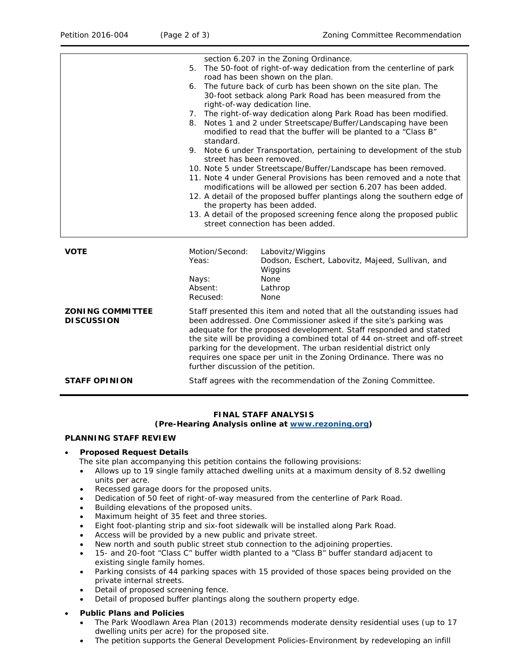|                                        | 8.<br>standard.                                               | section 6.207 in the Zoning Ordinance.<br>5. The 50-foot of right-of-way dedication from the centerline of park<br>road has been shown on the plan.<br>6. The future back of curb has been shown on the site plan. The<br>30-foot setback along Park Road has been measured from the<br>right-of-way dedication line.<br>7. The right-of-way dedication along Park Road has been modified.<br>Notes 1 and 2 under Streetscape/Buffer/Landscaping have been<br>modified to read that the buffer will be planted to a "Class B"<br>9. Note 6 under Transportation, pertaining to development of the stub<br>street has been removed.<br>10. Note 5 under Streetscape/Buffer/Landscape has been removed.<br>11. Note 4 under General Provisions has been removed and a note that<br>modifications will be allowed per section 6.207 has been added.<br>12. A detail of the proposed buffer plantings along the southern edge of<br>the property has been added.<br>13. A detail of the proposed screening fence along the proposed public<br>street connection has been added. |  |  |
|----------------------------------------|---------------------------------------------------------------|-----------------------------------------------------------------------------------------------------------------------------------------------------------------------------------------------------------------------------------------------------------------------------------------------------------------------------------------------------------------------------------------------------------------------------------------------------------------------------------------------------------------------------------------------------------------------------------------------------------------------------------------------------------------------------------------------------------------------------------------------------------------------------------------------------------------------------------------------------------------------------------------------------------------------------------------------------------------------------------------------------------------------------------------------------------------------------|--|--|
| <b>VOTE</b><br><b>ZONING COMMITTEE</b> | Motion/Second:<br>Yeas:<br>Nays:<br>Absent:<br>Recused:       | Labovitz/Wiggins<br>Dodson, Eschert, Labovitz, Majeed, Sullivan, and<br>Wiggins<br>None<br>Lathrop<br>None<br>Staff presented this item and noted that all the outstanding issues had                                                                                                                                                                                                                                                                                                                                                                                                                                                                                                                                                                                                                                                                                                                                                                                                                                                                                       |  |  |
| <b>DISCUSSION</b>                      |                                                               | been addressed. One Commissioner asked if the site's parking was<br>adequate for the proposed development. Staff responded and stated<br>the site will be providing a combined total of 44 on-street and off-street<br>parking for the development. The urban residential district only<br>requires one space per unit in the Zoning Ordinance. There was no<br>further discussion of the petition.                                                                                                                                                                                                                                                                                                                                                                                                                                                                                                                                                                                                                                                                         |  |  |
| <b>STAFF OPINION</b>                   | Staff agrees with the recommendation of the Zoning Committee. |                                                                                                                                                                                                                                                                                                                                                                                                                                                                                                                                                                                                                                                                                                                                                                                                                                                                                                                                                                                                                                                                             |  |  |

# **FINAL STAFF ANALYSIS**

**(Pre-Hearing Analysis online at [www.rezoning.org\)](http://www.rezoning.org/)** 

### **PLANNING STAFF REVIEW**

### • **Proposed Request Details**

The site plan accompanying this petition contains the following provisions:

- Allows up to 19 single family attached dwelling units at a maximum density of 8.52 dwelling units per acre.
- Recessed garage doors for the proposed units.
- Dedication of 50 feet of right-of-way measured from the centerline of Park Road.
- Building elevations of the proposed units.
- Maximum height of 35 feet and three stories.
- Eight foot-planting strip and six-foot sidewalk will be installed along Park Road.
- Access will be provided by a new public and private street.
- New north and south public street stub connection to the adjoining properties.
- 15- and 20-foot "Class C" buffer width planted to a "Class B" buffer standard adjacent to existing single family homes.
- Parking consists of 44 parking spaces with 15 provided of those spaces being provided on the private internal streets.
- Detail of proposed screening fence.
- Detail of proposed buffer plantings along the southern property edge.

## • **Public Plans and Policies**

- The *Park Woodlawn Area Plan* (2013) recommends moderate density residential uses (up to 17 dwelling units per acre) for the proposed site.
- The petition supports the *General Development Policies-Environment* by redeveloping an infill